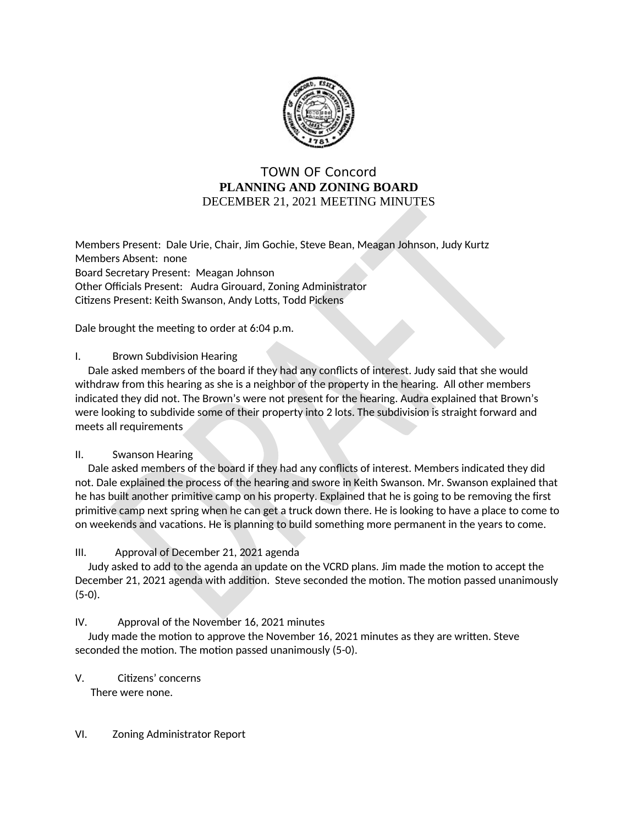

# **TOWN OF Concord** PLANNING AND ZONING BOARD DECEMBER 21, 2021 MEETING MINUTES

Members Present: Dale Urie, Chair, Jim Gochie, Steve Bean, Meagan Johnson, Judy Kurtz Members Absent: none Board Secretary Present: Meagan Johnson Other Officials Present: Audra Girouard, Zoning Administrator Citizens Present: Keith Swanson, Andy Lotts, Todd Pickens

Dale brought the meeting to order at 6:04 p.m.

## I. **Brown Subdivision Hearing**

Dale asked members of the board if they had any conflicts of interest. Judy said that she would withdraw from this hearing as she is a neighbor of the property in the hearing. All other members indicated they did not. The Brown's were not present for the hearing. Audra explained that Brown's were looking to subdivide some of their property into 2 lots. The subdivision is straight forward and meets all requirements

#### $\Pi$ . **Swanson Hearing**

Dale asked members of the board if they had any conflicts of interest. Members indicated they did not. Dale explained the process of the hearing and swore in Keith Swanson. Mr. Swanson explained that he has built another primitive camp on his property. Explained that he is going to be removing the first primitive camp next spring when he can get a truck down there. He is looking to have a place to come to on weekends and vacations. He is planning to build something more permanent in the years to come.

# $III.$ Approval of December 21, 2021 agenda

Judy asked to add to the agenda an update on the VCRD plans. Jim made the motion to accept the December 21, 2021 agenda with addition. Steve seconded the motion. The motion passed unanimously  $(5-0).$ 

IV. Approval of the November 16, 2021 minutes

Judy made the motion to approve the November 16, 2021 minutes as they are written. Steve seconded the motion. The motion passed unanimously (5-0).

V. Citizens' concerns

There were none.

#### VI. Zoning Administrator Report